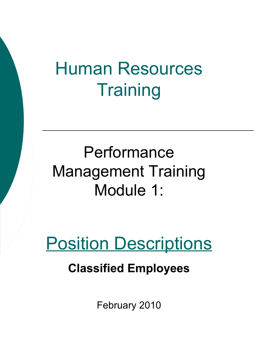# Human Resources **Training**

# Performance Management Training Module 1:

# Position Descriptions

### **Classified Employees**

February 2010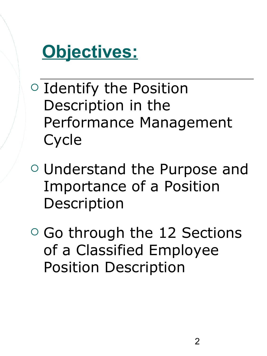

- $\circ$  Identify the Position Description in the Performance Management Cycle
- Understand the Purpose and Importance of a Position Description
- $\circ$  Go through the 12 Sections of a Classified Employee Position Description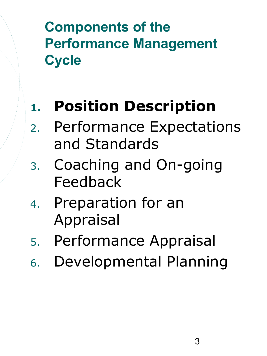## **Components of the Performance Management Cycle**

# **1. Position Description**

- 2. Performance Expectations and Standards
- 3. Coaching and On-going Feedback
- 4. Preparation for an Appraisal
- 5. Performance Appraisal
- 6. Developmental Planning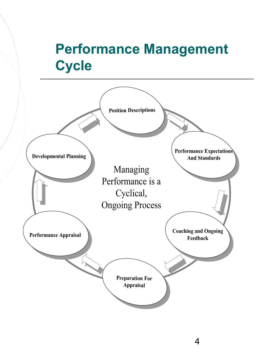### **Performance Management Cycle**

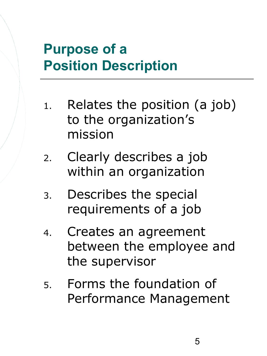### **Purpose of a Position Description**

- 1. Relates the position (a job) to the organization's mission
- 2. Clearly describes a job within an organization
- 3. Describes the special requirements of a job
- 4. Creates an agreement between the employee and the supervisor
- 5. Forms the foundation of Performance Management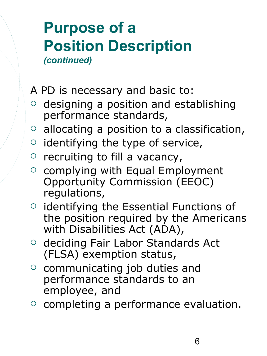### **Purpose of a Position Description** *(continued)*

#### A PD is necessary and basic to:

- $\circ$  designing a position and establishing performance standards,
- $\circ$  allocating a position to a classification,
- $\circ$  identifying the type of service,
- $\circ$  recruiting to fill a vacancy,
- o complying with Equal Employment Opportunity Commission (EEOC) regulations,
- $\circ$  identifying the Essential Functions of the position required by the Americans with Disabilities Act (ADA),
- o deciding Fair Labor Standards Act (FLSA) exemption status,
- $\circ$  communicating job duties and performance standards to an employee, and
- $\circ$  completing a performance evaluation.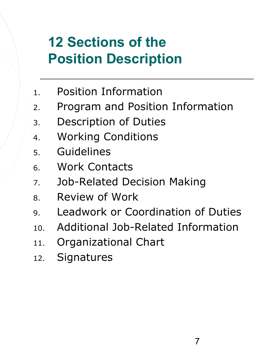### **12 Sections of the Position Description**

- 1. Position Information
- 2. Program and Position Information
- 3. Description of Duties
- 4. Working Conditions
- 5. Guidelines
- 6. Work Contacts
- 7. Job-Related Decision Making
- 8. Review of Work
- 9. Leadwork or Coordination of Duties
- 10. Additional Job-Related Information
- 11. Organizational Chart
- 12. Signatures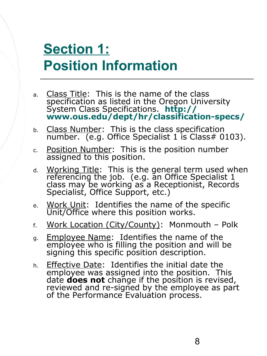## **Section 1: Position Information**

- a. Class Title: This is the name of the class specification as listed in the Oregon University System Class Specifications. **[http://](http://www.ous.edu/dept/hr/classification-specs/) [www.ous.edu/dept/hr/classification-specs/](http://www.ous.edu/dept/hr/classification-specs/)**
- b. Class Number: This is the class specification number.  $(e.g.$  Office Specialist 1 is Class# 0103).
- c. Position Number: This is the position number assigned to this position.
- d. Working Title: This is the general term used when referencing the job. (e.g. an Office Specialist 1 class may be working as a Receptionist, Records Specialist, Office Support, etc.)
- e. Work Unit: Identifies the name of the specific Unit/Office where this position works.
- f. Work Location (City/County): Monmouth Polk
- g. Employee Name: Identifies the name of the employee who is filling the position and will be signing this specific position description.
- h. Effective Date: Identifies the initial date the employee was assigned into the position. This date **does not** change if the position is revised, reviewed and re-signed by the employee as part of the Performance Evaluation process.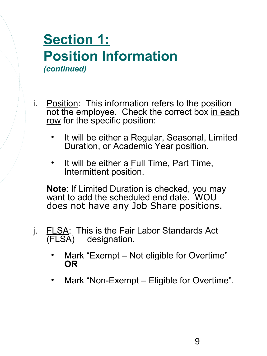#### **Section 1: Position Information** *(continued)*

i. Position: This information refers to the position not the employee. Check the correct box in each row for the specific position:

- It will be either a Regular, Seasonal, Limited Duration, or Academic Year position.
- It will be either a Full Time, Part Time, Intermittent position.

**Note**: If Limited Duration is checked, you may want to add the scheduled end date. WOU does not have any Job Share positions.

- j. FLSA: This is the Fair Labor Standards Act (FLSA) designation. designation.
	- Mark "Exempt Not eligible for Overtime" **OR**
	- Mark "Non-Exempt Eligible for Overtime".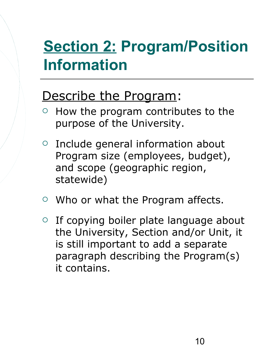# **Section 2: Program/Position Information**

### Describe the Program:

- $\circ$  How the program contributes to the purpose of the University.
- $\circ$  Include general information about Program size (employees, budget), and scope (geographic region, statewide)
- Who or what the Program affects.
- $\circ$  If copying boiler plate language about the University, Section and/or Unit, it is still important to add a separate paragraph describing the Program(s) it contains.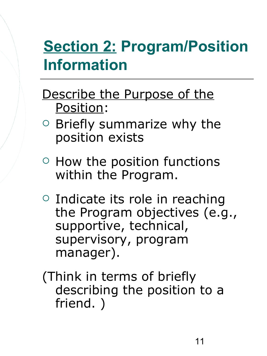# **Section 2: Program/Position Information**

- Describe the Purpose of the Position:
- $\circ$  Briefly summarize why the position exists
- $\circ$  How the position functions within the Program.
- $\circ$  Indicate its role in reaching the Program objectives (e.g., supportive, technical, supervisory, program manager).
- (Think in terms of briefly describing the position to a friend. )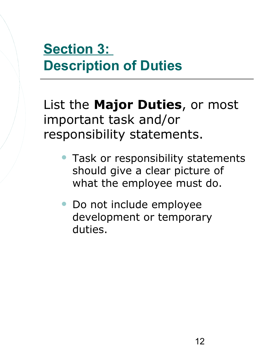## **Section 3: Description of Duties**

List the **Major Duties**, or most important task and/or responsibility statements.

- Task or responsibility statements should give a clear picture of what the employee must do.
- Do not include employee development or temporary duties.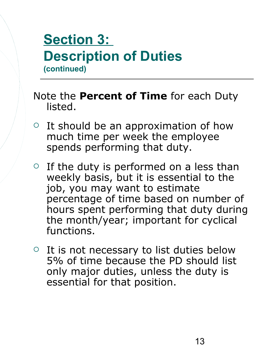### **Section 3: Description of Duties (continued)**

#### Note the **Percent of Time** for each Duty listed.

- $\circ$  It should be an approximation of how much time per week the employee spends performing that duty.
- $\circ$  If the duty is performed on a less than weekly basis, but it is essential to the job, you may want to estimate percentage of time based on number of hours spent performing that duty during the month/year; important for cyclical functions.
- $\circ$  It is not necessary to list duties below 5% of time because the PD should list only major duties, unless the duty is essential for that position.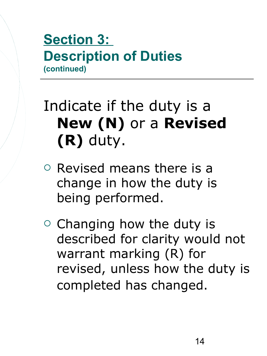### **Section 3: Description of Duties (continued)**

# Indicate if the duty is a **New (N)** or a **Revised (R)** duty.

- $\circ$  Revised means there is a change in how the duty is being performed.
- $\circ$  Changing how the duty is described for clarity would not warrant marking (R) for revised, unless how the duty is completed has changed.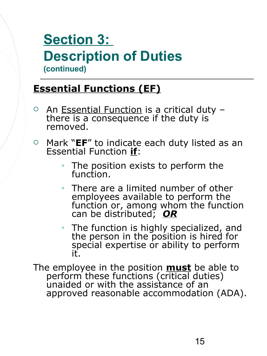### **Section 3: Description of Duties (continued)**

#### **Essential Functions (EF)**

- $\circ$  An Essential Function is a critical duty  $\sim$ there is a consequence if the duty is removed.
- Mark "**EF**" to indicate each duty listed as an Essential Function **if**:
	- The position exists to perform the function.
	- There are a limited number of other employees available to perform the function or, among whom the function can be distributed; *OR*
	- The function is highly specialized, and the person in the position is hired for special expertise or ability to perform it.

The employee in the position **must** be able to perform these functions (critical duties) unaided or with the assistance of an approved reasonable accommodation (ADA).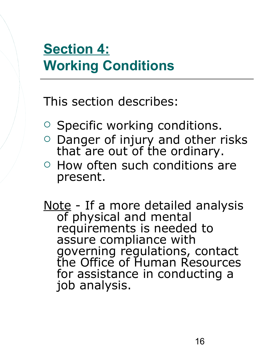## **Section 4: Working Conditions**

This section describes:

- $\circ$  Specific working conditions.
- $\circ$  Danger of injury and other risks that are out of the ordinary.
- o How often such conditions are present.

Note - If a more detailed analysis of physical and mental requirements is needed to assure compliance with governing regulations, contact the Office of Human Resources for assistance in conducting a job analysis.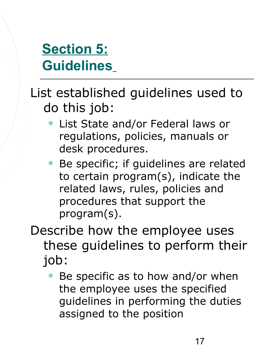### **Section 5: Guidelines**

List established guidelines used to do this job:

- List State and/or Federal laws or regulations, policies, manuals or desk procedures.
- Be specific; if guidelines are related to certain program(s), indicate the related laws, rules, policies and procedures that support the program(s).
- Describe how the employee uses these guidelines to perform their job:
	- Be specific as to how and/or when the employee uses the specified guidelines in performing the duties assigned to the position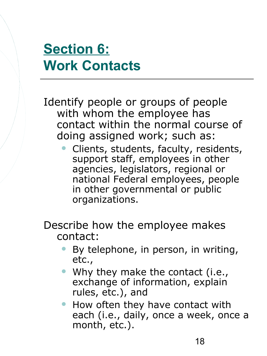### **Section 6: Work Contacts**

Identify people or groups of people with whom the employee has contact within the normal course of doing assigned work; such as:

- Clients, students, faculty, residents, support staff, employees in other agencies, legislators, regional or national Federal employees, people in other governmental or public organizations.
- Describe how the employee makes contact:
	- By telephone, in person, in writing, etc.,
	- Why they make the contact (i.e., exchange of information, explain rules, etc.), and
	- How often they have contact with each (i.e., daily, once a week, once a month, etc.).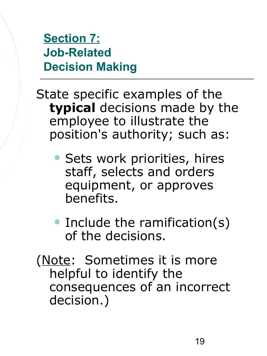#### **Section 7: Job-Related Decision Making**

- State specific examples of the **typical** decisions made by the employee to illustrate the position's authority; such as:
	- Sets work priorities, hires staff, selects and orders equipment, or approves benefits.
	- Include the ramification(s) of the decisions.
- (Note: Sometimes it is more helpful to identify the consequences of an incorrect decision.)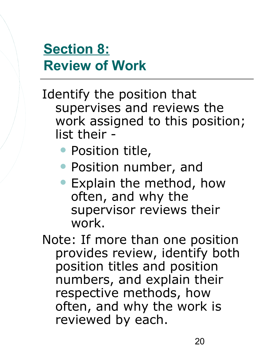### **Section 8: Review of Work**

Identify the position that supervises and reviews the work assigned to this position; list their -

- Position title,
- Position number, and
- Explain the method, how often, and why the supervisor reviews their work.
- Note: If more than one position provides review, identify both position titles and position numbers, and explain their respective methods, how often, and why the work is reviewed by each.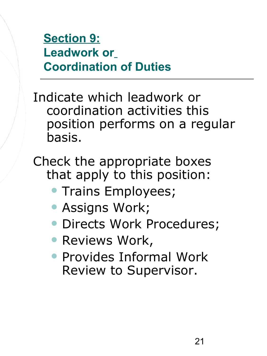### **Section 9: Leadwork or Coordination of Duties**

Indicate which leadwork or coordination activities this position performs on a regular basis.

Check the appropriate boxes that apply to this position:

- Trains Employees;
- Assigns Work;
- **· Directs Work Procedures;**
- **Reviews Work,**
- Provides Informal Work Review to Supervisor.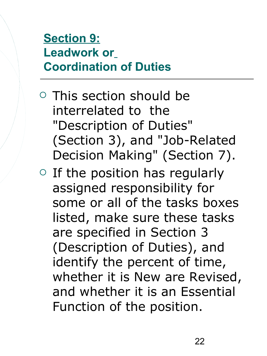### **Section 9: Leadwork or Coordination of Duties**

- $\circ$  This section should be interrelated to the "Description of Duties" (Section 3), and "Job-Related Decision Making" (Section 7).
- $\circ$  If the position has regularly assigned responsibility for some or all of the tasks boxes listed, make sure these tasks are specified in Section 3 (Description of Duties), and identify the percent of time, whether it is New are Revised, and whether it is an Essential Function of the position.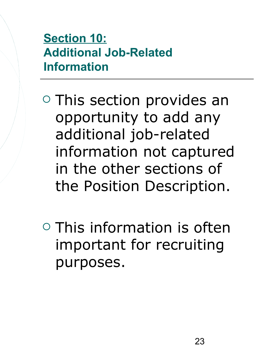### **Section 10: Additional Job-Related Information**

- **O** This section provides an opportunity to add any additional job-related information not captured in the other sections of the Position Description.
- $\circ$  This information is often important for recruiting purposes.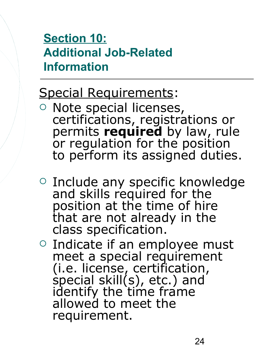### **Section 10: Additional Job-Related Information**

### Special Requirements:

- o Note special licenses, certifications, registrations or permits **required** by law, rule or regulation for the position to perform its assigned duties.
- o Include any specific knowledge and skills required for the position at the time of hire that are not already in the class specification.
- o Indicate if an employee must meet a special requirement (i.e. license, certification, special skill $(s)$ , etc.) and identify the time frame allowed to meet the requirement.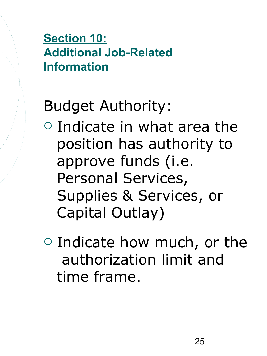### **Section 10: Additional Job-Related Information**

# **Budget Authority:**

- $\circ$  Indicate in what area the position has authority to approve funds (i.e. Personal Services, Supplies & Services, or Capital Outlay)
- $\circ$  Indicate how much, or the authorization limit and time frame.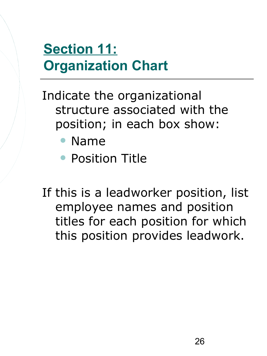## **Section 11: Organization Chart**

Indicate the organizational structure associated with the position; in each box show:

- Name
- **Position Title**
- If this is a leadworker position, list employee names and position titles for each position for which this position provides leadwork.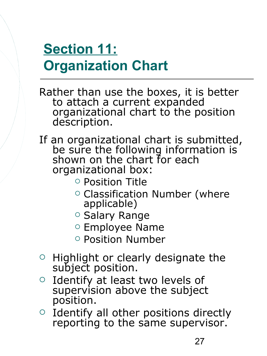## **Section 11: Organization Chart**

Rather than use the boxes, it is better to attach a current expanded organizational chart to the position description.

If an organizational chart is submitted, be sure the following information is shown on the chart for each organizational box:

- Position Title
- $\circ$  Classification Number (where applicable)
- o Salary Range
- o Employee Name
- Position Number
- $\circ$  Highlight or clearly designate the subject position.
- o Identify at least two levels of supervision above the subject position.
- $\circ$  Identify all other positions directly reporting to the same supervisor.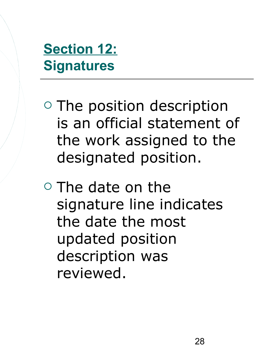**Section 12: Signatures**

- $\circ$  The position description is an official statement of the work assigned to the designated position.
- $\circ$  The date on the signature line indicates the date the most updated position description was reviewed.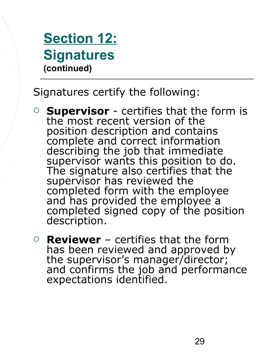### **Section 12: Signatures (continued)**

Signatures certify the following:

- **Supervisor** certifies that the form is the most recent version of the position description and contains complete and correct information describing the job that immediate supervisor wants this position to do. The signature also certifies that the supervisor has reviewed the completed form with the employee and has provided the employee a completed signed copy of the position description.
- **Reviewer** certifies that the form has been reviewed and approved by the supervisor's manager/director; and confirms the job and performance expectations identified.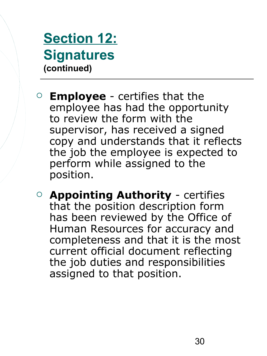### **Section 12: Signatures (continued)**

- **Employee** certifies that the employee has had the opportunity to review the form with the supervisor, has received a signed copy and understands that it reflects the job the employee is expected to perform while assigned to the position.
- **Appointing Authority** certifies that the position description form has been reviewed by the Office of Human Resources for accuracy and completeness and that it is the most current official document reflecting the job duties and responsibilities assigned to that position.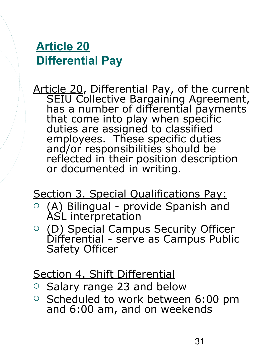#### **Article 20 Differential Pay**

Article 20, Differential Pay, of the current SEIU Collective Bargaining Agreement, has a number of differential payments that come into play when specific duties are assigned to classified employees. These specific duties and/or responsibilities should be reflected in their position description or documented in writing.

Section 3. Special Qualifications Pay:

- $\circ$  (A) Bilingual provide Spanish and ASL interpretation
- (D) Special Campus Security Officer Differential - serve as Campus Public Safety Officer

#### Section 4. Shift Differential

- Salary range 23 and below
- $\circ$  Scheduled to work between 6:00 pm and 6:00 am, and on weekends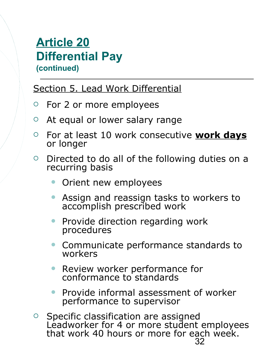#### **Article 20 Differential Pay (continued)**

Section 5. Lead Work Differential

- For 2 or more employees
- At equal or lower salary range
- For at least 10 work consecutive **work days** or longer
- $\circ$  Directed to do all of the following duties on a recurring basis
	- Orient new employees
	- Assign and reassign tasks to workers to accomplish prescribed work
	- Provide direction regarding work procedures
	- Communicate performance standards to workers
	- Review worker performance for conformance to standards
	- **Provide informal assessment of worker** performance to supervisor
- 32  $\circ$  Specific classification are assigned Leadworker for 4 or more student employees that work 40 hours or more for each week.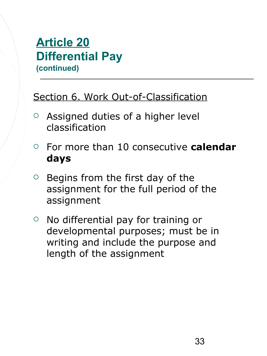#### **Article 20 Differential Pay (continued)**

#### Section 6. Work Out-of-Classification

- $\circ$  Assigned duties of a higher level classification
- For more than 10 consecutive **calendar days**
- $\circ$  Begins from the first day of the assignment for the full period of the assignment
- $\circ$  No differential pay for training or developmental purposes; must be in writing and include the purpose and length of the assignment